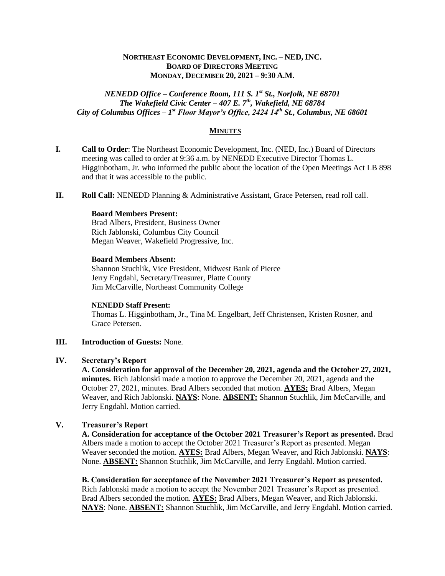## **NORTHEAST ECONOMIC DEVELOPMENT, INC. – NED, INC. BOARD OF DIRECTORS MEETING MONDAY, DECEMBER 20, 2021 – 9:30 A.M.**

*NENEDD Office – Conference Room, 111 S. 1st St., Norfolk, NE 68701 The Wakefield Civic Center – 407 E. 7th, Wakefield, NE 68784 City of Columbus Offices – 1 st Floor Mayor's Office, 2424 14th St., Columbus, NE 68601*

### **MINUTES**

- **I. Call to Order**: The Northeast Economic Development, Inc. (NED, Inc.) Board of Directors meeting was called to order at 9:36 a.m. by NENEDD Executive Director Thomas L. Higginbotham, Jr. who informed the public about the location of the Open Meetings Act LB 898 and that it was accessible to the public.
- **II. Roll Call:** NENEDD Planning & Administrative Assistant, Grace Petersen, read roll call.

### **Board Members Present:**

Brad Albers, President, Business Owner Rich Jablonski, Columbus City Council Megan Weaver, Wakefield Progressive, Inc.

## **Board Members Absent:**

Shannon Stuchlik, Vice President, Midwest Bank of Pierce Jerry Engdahl, Secretary/Treasurer, Platte County Jim McCarville, Northeast Community College

#### **NENEDD Staff Present:**

Thomas L. Higginbotham, Jr., Tina M. Engelbart, Jeff Christensen, Kristen Rosner, and Grace Petersen.

### **III. Introduction of Guests:** None.

## **IV. Secretary's Report**

**A. Consideration for approval of the December 20, 2021, agenda and the October 27, 2021, minutes.** Rich Jablonski made a motion to approve the December 20, 2021, agenda and the October 27, 2021, minutes. Brad Albers seconded that motion. **AYES:** Brad Albers, Megan Weaver, and Rich Jablonski. **NAYS**: None. **ABSENT:** Shannon Stuchlik, Jim McCarville, and Jerry Engdahl. Motion carried.

# **V. Treasurer's Report**

**A. Consideration for acceptance of the October 2021 Treasurer's Report as presented.** Brad Albers made a motion to accept the October 2021 Treasurer's Report as presented. Megan Weaver seconded the motion. **AYES:** Brad Albers, Megan Weaver, and Rich Jablonski. **NAYS**: None. **ABSENT:** Shannon Stuchlik, Jim McCarville, and Jerry Engdahl. Motion carried.

**B. Consideration for acceptance of the November 2021 Treasurer's Report as presented.**  Rich Jablonski made a motion to accept the November 2021 Treasurer's Report as presented. Brad Albers seconded the motion. **AYES:** Brad Albers, Megan Weaver, and Rich Jablonski. **NAYS**: None. **ABSENT:** Shannon Stuchlik, Jim McCarville, and Jerry Engdahl. Motion carried.